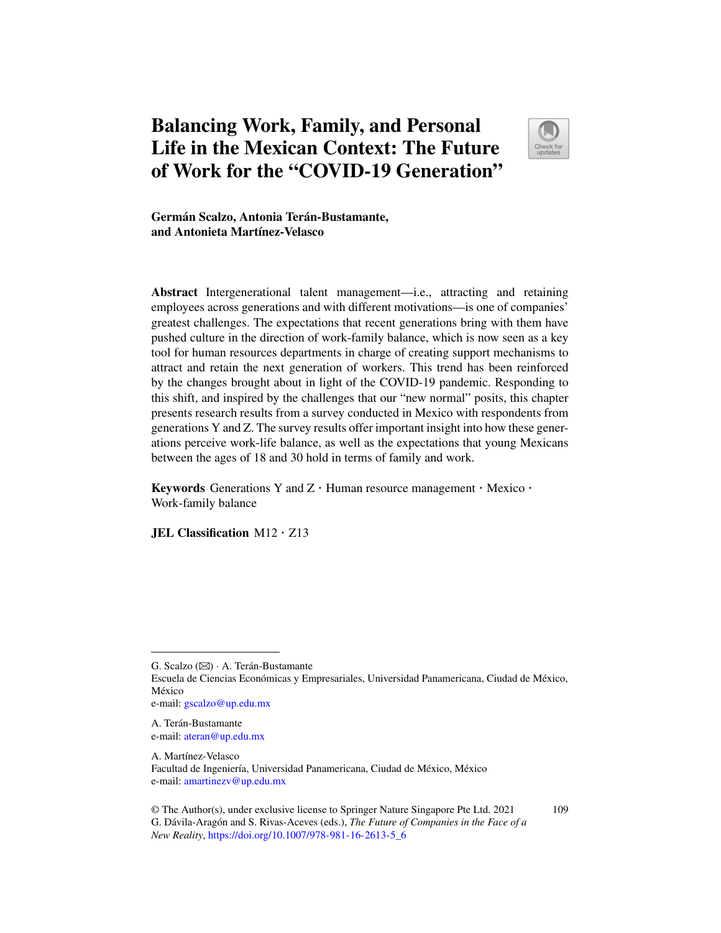# **Balancing Work, Family, and Personal Life in the Mexican Context: The Future of Work for the "COVID-19 Generation"**



109

**Germán Scalzo, Antonia Terán-Bustamante, and Antonieta Martínez-Velasco**

**Abstract** Intergenerational talent management—i.e., attracting and retaining employees across generations and with different motivations—is one of companies' greatest challenges. The expectations that recent generations bring with them have pushed culture in the direction of work-family balance, which is now seen as a key tool for human resources departments in charge of creating support mechanisms to attract and retain the next generation of workers. This trend has been reinforced by the changes brought about in light of the COVID-19 pandemic. Responding to this shift, and inspired by the challenges that our "new normal" posits, this chapter presents research results from a survey conducted in Mexico with respondents from generations Y and Z. The survey results offer important insight into how these generations perceive work-life balance, as well as the expectations that young Mexicans between the ages of 18 and 30 hold in terms of family and work.

**Keywords** Generations Y and Z · Human resource management · Mexico · Work-family balance

**JEL Classification** M12 · Z13

A. Terán-Bustamante e-mail: ateran@up.edu.mx

G. Scalzo (B) · A. Terán-Bustamante Escuela de Ciencias Económicas y Empresariales, Universidad Panamericana, Ciudad de México, México e-mail: gscalzo@up.edu.mx

A. Martínez-Velasco Facultad de Ingeniería, Universidad Panamericana, Ciudad de México, México e-mail: amartinezv@up.edu.mx

<sup>©</sup> The Author(s), under exclusive license to Springer Nature Singapore Pte Ltd. 2021 G. Dávila-Aragón and S. Rivas-Aceves (eds.), *The Future of Companies in the Face of a New Reality*, https://doi.org/10.1007/978-981-16-2613-5\_6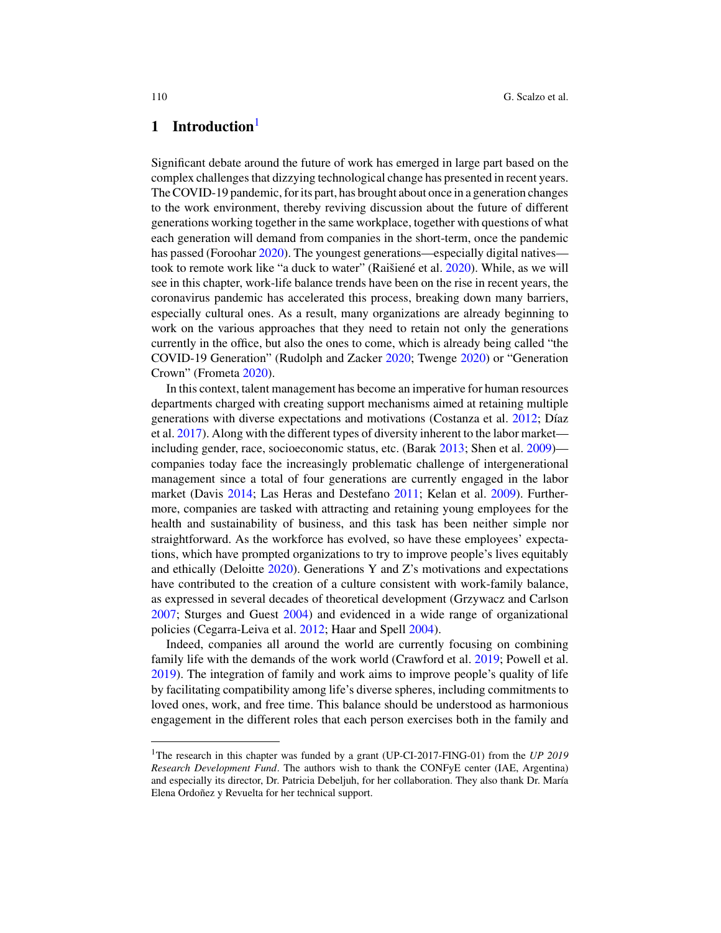## **1 Introduction**<sup>1</sup>

Significant debate around the future of work has emerged in large part based on the complex challenges that dizzying technological change has presented in recent years. The COVID-19 pandemic, for its part, has brought about once in a generation changes to the work environment, thereby reviving discussion about the future of different generations working together in the same workplace, together with questions of what each generation will demand from companies in the short-term, once the pandemic has passed (Foroohar 2020). The youngest generations—especially digital natives took to remote work like "a duck to water" (Raišiené et al. 2020). While, as we will see in this chapter, work-life balance trends have been on the rise in recent years, the coronavirus pandemic has accelerated this process, breaking down many barriers, especially cultural ones. As a result, many organizations are already beginning to work on the various approaches that they need to retain not only the generations currently in the office, but also the ones to come, which is already being called "the COVID-19 Generation" (Rudolph and Zacker 2020; Twenge 2020) or "Generation Crown" (Frometa 2020).

In this context, talent management has become an imperative for human resources departments charged with creating support mechanisms aimed at retaining multiple generations with diverse expectations and motivations (Costanza et al. 2012; Díaz et al. 2017). Along with the different types of diversity inherent to the labor market including gender, race, socioeconomic status, etc. (Barak 2013; Shen et al. 2009) companies today face the increasingly problematic challenge of intergenerational management since a total of four generations are currently engaged in the labor market (Davis 2014; Las Heras and Destefano 2011; Kelan et al. 2009). Furthermore, companies are tasked with attracting and retaining young employees for the health and sustainability of business, and this task has been neither simple nor straightforward. As the workforce has evolved, so have these employees' expectations, which have prompted organizations to try to improve people's lives equitably and ethically (Deloitte 2020). Generations Y and Z's motivations and expectations have contributed to the creation of a culture consistent with work-family balance, as expressed in several decades of theoretical development (Grzywacz and Carlson 2007; Sturges and Guest 2004) and evidenced in a wide range of organizational policies (Cegarra-Leiva et al. 2012; Haar and Spell 2004).

Indeed, companies all around the world are currently focusing on combining family life with the demands of the work world (Crawford et al. 2019; Powell et al. 2019). The integration of family and work aims to improve people's quality of life by facilitating compatibility among life's diverse spheres, including commitments to loved ones, work, and free time. This balance should be understood as harmonious engagement in the different roles that each person exercises both in the family and

<sup>1</sup>The research in this chapter was funded by a grant (UP-CI-2017-FING-01) from the *UP 2019 Research Development Fund*. The authors wish to thank the CONFyE center (IAE, Argentina) and especially its director, Dr. Patricia Debeljuh, for her collaboration. They also thank Dr. María Elena Ordoñez y Revuelta for her technical support.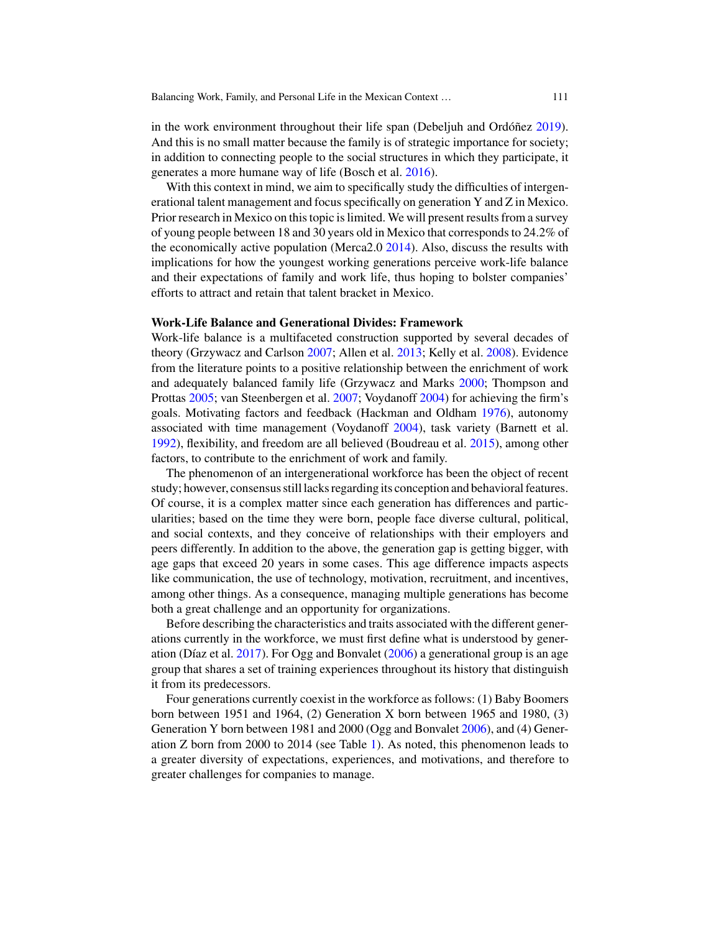in the work environment throughout their life span (Debeljuh and Ordóñez 2019). And this is no small matter because the family is of strategic importance for society; in addition to connecting people to the social structures in which they participate, it generates a more humane way of life (Bosch et al. 2016).

With this context in mind, we aim to specifically study the difficulties of intergenerational talent management and focus specifically on generation Y and Z in Mexico. Prior research in Mexico on this topic is limited. We will present results from a survey of young people between 18 and 30 years old in Mexico that corresponds to 24.2% of the economically active population (Merca2.0 2014). Also, discuss the results with implications for how the youngest working generations perceive work-life balance and their expectations of family and work life, thus hoping to bolster companies' efforts to attract and retain that talent bracket in Mexico.

#### **Work-Life Balance and Generational Divides: Framework**

Work-life balance is a multifaceted construction supported by several decades of theory (Grzywacz and Carlson 2007; Allen et al. 2013; Kelly et al. 2008). Evidence from the literature points to a positive relationship between the enrichment of work and adequately balanced family life (Grzywacz and Marks 2000; Thompson and Prottas 2005; van Steenbergen et al. 2007; Voydanoff 2004) for achieving the firm's goals. Motivating factors and feedback (Hackman and Oldham 1976), autonomy associated with time management (Voydanoff 2004), task variety (Barnett et al. 1992), flexibility, and freedom are all believed (Boudreau et al. 2015), among other factors, to contribute to the enrichment of work and family.

The phenomenon of an intergenerational workforce has been the object of recent study; however, consensus still lacks regarding its conception and behavioral features. Of course, it is a complex matter since each generation has differences and particularities; based on the time they were born, people face diverse cultural, political, and social contexts, and they conceive of relationships with their employers and peers differently. In addition to the above, the generation gap is getting bigger, with age gaps that exceed 20 years in some cases. This age difference impacts aspects like communication, the use of technology, motivation, recruitment, and incentives, among other things. As a consequence, managing multiple generations has become both a great challenge and an opportunity for organizations.

Before describing the characteristics and traits associated with the different generations currently in the workforce, we must first define what is understood by generation (Díaz et al. 2017). For Ogg and Bonvalet (2006) a generational group is an age group that shares a set of training experiences throughout its history that distinguish it from its predecessors.

Four generations currently coexist in the workforce as follows: (1) Baby Boomers born between 1951 and 1964, (2) Generation X born between 1965 and 1980, (3) Generation Y born between 1981 and 2000 (Ogg and Bonvalet 2006), and (4) Generation Z born from 2000 to 2014 (see Table 1). As noted, this phenomenon leads to a greater diversity of expectations, experiences, and motivations, and therefore to greater challenges for companies to manage.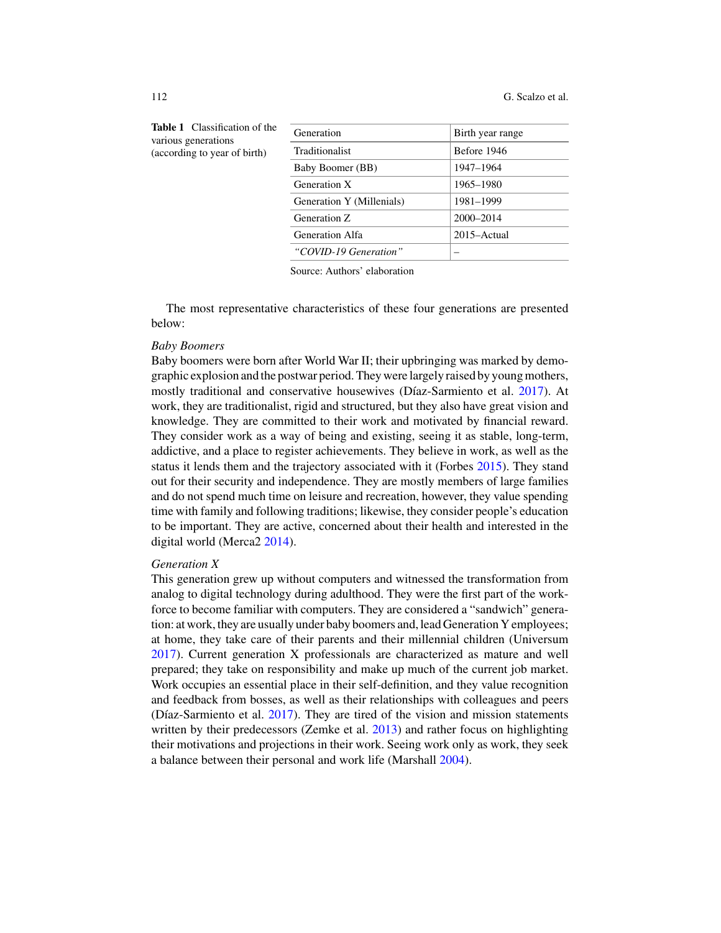112 G. Scalzo et al.

| ification of the<br>tions<br>ear of birth) | Generation                | Birth year range |
|--------------------------------------------|---------------------------|------------------|
|                                            | Traditionalist            | Before 1946      |
|                                            | Baby Boomer (BB)          | 1947-1964        |
|                                            | Generation X              | 1965–1980        |
|                                            | Generation Y (Millenials) | 1981-1999        |
|                                            | Generation Z              | 2000-2014        |
|                                            | Generation Alfa           | 2015–Actual      |
|                                            | "COVID-19 Generation"     |                  |
|                                            |                           |                  |

**Table 1** Classi various generat (according to yo

Source: Authors' elaboration

The most representative characteristics of these four generations are presented below:

#### *Baby Boomers*

Baby boomers were born after World War II; their upbringing was marked by demographic explosion and the postwar period. They were largely raised by young mothers, mostly traditional and conservative housewives (Díaz-Sarmiento et al. 2017). At work, they are traditionalist, rigid and structured, but they also have great vision and knowledge. They are committed to their work and motivated by financial reward. They consider work as a way of being and existing, seeing it as stable, long-term, addictive, and a place to register achievements. They believe in work, as well as the status it lends them and the trajectory associated with it (Forbes 2015). They stand out for their security and independence. They are mostly members of large families and do not spend much time on leisure and recreation, however, they value spending time with family and following traditions; likewise, they consider people's education to be important. They are active, concerned about their health and interested in the digital world (Merca2 2014).

#### *Generation X*

This generation grew up without computers and witnessed the transformation from analog to digital technology during adulthood. They were the first part of the workforce to become familiar with computers. They are considered a "sandwich" generation: at work, they are usually under baby boomers and, lead Generation Y employees; at home, they take care of their parents and their millennial children (Universum 2017). Current generation X professionals are characterized as mature and well prepared; they take on responsibility and make up much of the current job market. Work occupies an essential place in their self-definition, and they value recognition and feedback from bosses, as well as their relationships with colleagues and peers (Díaz-Sarmiento et al. 2017). They are tired of the vision and mission statements written by their predecessors (Zemke et al. 2013) and rather focus on highlighting their motivations and projections in their work. Seeing work only as work, they seek a balance between their personal and work life (Marshall 2004).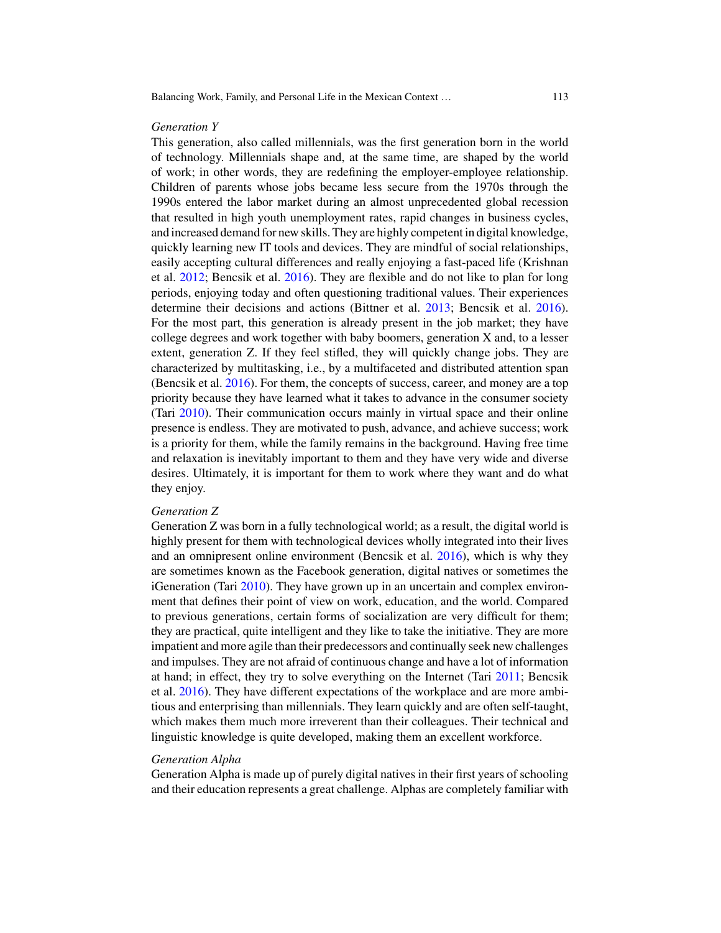#### *Generation Y*

This generation, also called millennials, was the first generation born in the world of technology. Millennials shape and, at the same time, are shaped by the world of work; in other words, they are redefining the employer-employee relationship. Children of parents whose jobs became less secure from the 1970s through the 1990s entered the labor market during an almost unprecedented global recession that resulted in high youth unemployment rates, rapid changes in business cycles, and increased demand for new skills. They are highly competent in digital knowledge, quickly learning new IT tools and devices. They are mindful of social relationships, easily accepting cultural differences and really enjoying a fast-paced life (Krishnan et al. 2012; Bencsik et al. 2016). They are flexible and do not like to plan for long periods, enjoying today and often questioning traditional values. Their experiences determine their decisions and actions (Bittner et al. 2013; Bencsik et al. 2016). For the most part, this generation is already present in the job market; they have college degrees and work together with baby boomers, generation X and, to a lesser extent, generation Z. If they feel stifled, they will quickly change jobs. They are characterized by multitasking, i.e., by a multifaceted and distributed attention span (Bencsik et al. 2016). For them, the concepts of success, career, and money are a top priority because they have learned what it takes to advance in the consumer society (Tari 2010). Their communication occurs mainly in virtual space and their online presence is endless. They are motivated to push, advance, and achieve success; work is a priority for them, while the family remains in the background. Having free time and relaxation is inevitably important to them and they have very wide and diverse desires. Ultimately, it is important for them to work where they want and do what they enjoy.

### *Generation Z*

Generation Z was born in a fully technological world; as a result, the digital world is highly present for them with technological devices wholly integrated into their lives and an omnipresent online environment (Bencsik et al. 2016), which is why they are sometimes known as the Facebook generation, digital natives or sometimes the iGeneration (Tari 2010). They have grown up in an uncertain and complex environment that defines their point of view on work, education, and the world. Compared to previous generations, certain forms of socialization are very difficult for them; they are practical, quite intelligent and they like to take the initiative. They are more impatient and more agile than their predecessors and continually seek new challenges and impulses. They are not afraid of continuous change and have a lot of information at hand; in effect, they try to solve everything on the Internet (Tari 2011; Bencsik et al. 2016). They have different expectations of the workplace and are more ambitious and enterprising than millennials. They learn quickly and are often self-taught, which makes them much more irreverent than their colleagues. Their technical and linguistic knowledge is quite developed, making them an excellent workforce.

### *Generation Alpha*

Generation Alpha is made up of purely digital natives in their first years of schooling and their education represents a great challenge. Alphas are completely familiar with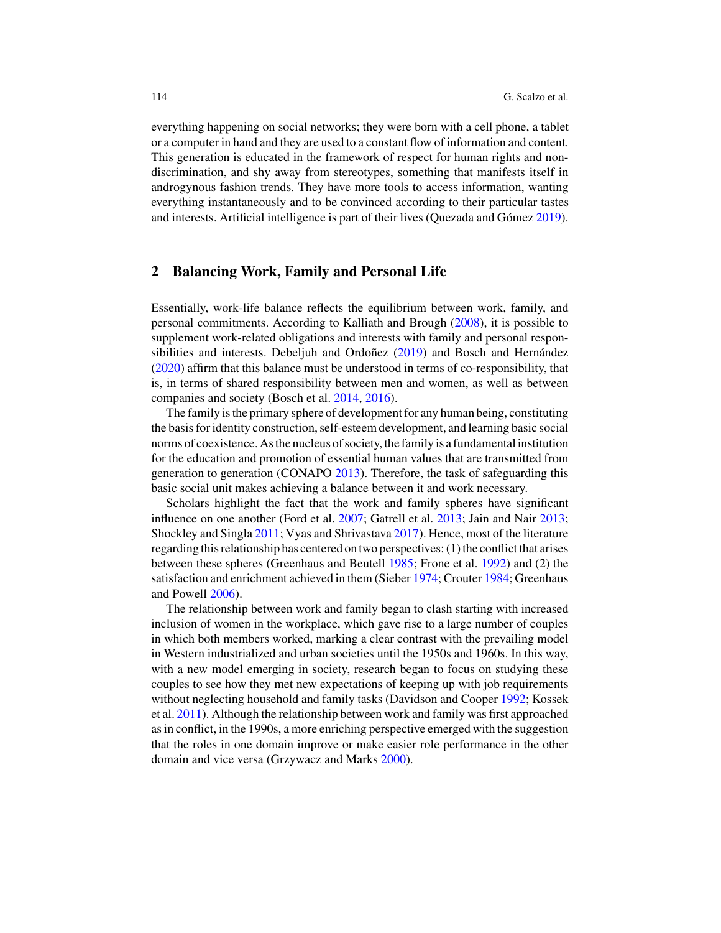everything happening on social networks; they were born with a cell phone, a tablet or a computer in hand and they are used to a constant flow of information and content. This generation is educated in the framework of respect for human rights and nondiscrimination, and shy away from stereotypes, something that manifests itself in androgynous fashion trends. They have more tools to access information, wanting everything instantaneously and to be convinced according to their particular tastes and interests. Artificial intelligence is part of their lives (Quezada and Gómez 2019).

## **2 Balancing Work, Family and Personal Life**

Essentially, work-life balance reflects the equilibrium between work, family, and personal commitments. According to Kalliath and Brough (2008), it is possible to supplement work-related obligations and interests with family and personal responsibilities and interests. Debeljuh and Ordoñez (2019) and Bosch and Hernández (2020) affirm that this balance must be understood in terms of co-responsibility, that is, in terms of shared responsibility between men and women, as well as between companies and society (Bosch et al. 2014, 2016).

The family is the primary sphere of development for any human being, constituting the basis for identity construction, self-esteem development, and learning basic social norms of coexistence. As the nucleus of society, the family is a fundamental institution for the education and promotion of essential human values that are transmitted from generation to generation (CONAPO 2013). Therefore, the task of safeguarding this basic social unit makes achieving a balance between it and work necessary.

Scholars highlight the fact that the work and family spheres have significant influence on one another (Ford et al. 2007; Gatrell et al. 2013; Jain and Nair 2013; Shockley and Singla 2011; Vyas and Shrivastava 2017). Hence, most of the literature regarding this relationship has centered on two perspectives: (1) the conflict that arises between these spheres (Greenhaus and Beutell 1985; Frone et al. 1992) and (2) the satisfaction and enrichment achieved in them (Sieber 1974; Crouter 1984; Greenhaus and Powell 2006).

The relationship between work and family began to clash starting with increased inclusion of women in the workplace, which gave rise to a large number of couples in which both members worked, marking a clear contrast with the prevailing model in Western industrialized and urban societies until the 1950s and 1960s. In this way, with a new model emerging in society, research began to focus on studying these couples to see how they met new expectations of keeping up with job requirements without neglecting household and family tasks (Davidson and Cooper 1992; Kossek et al. 2011). Although the relationship between work and family was first approached as in conflict, in the 1990s, a more enriching perspective emerged with the suggestion that the roles in one domain improve or make easier role performance in the other domain and vice versa (Grzywacz and Marks 2000).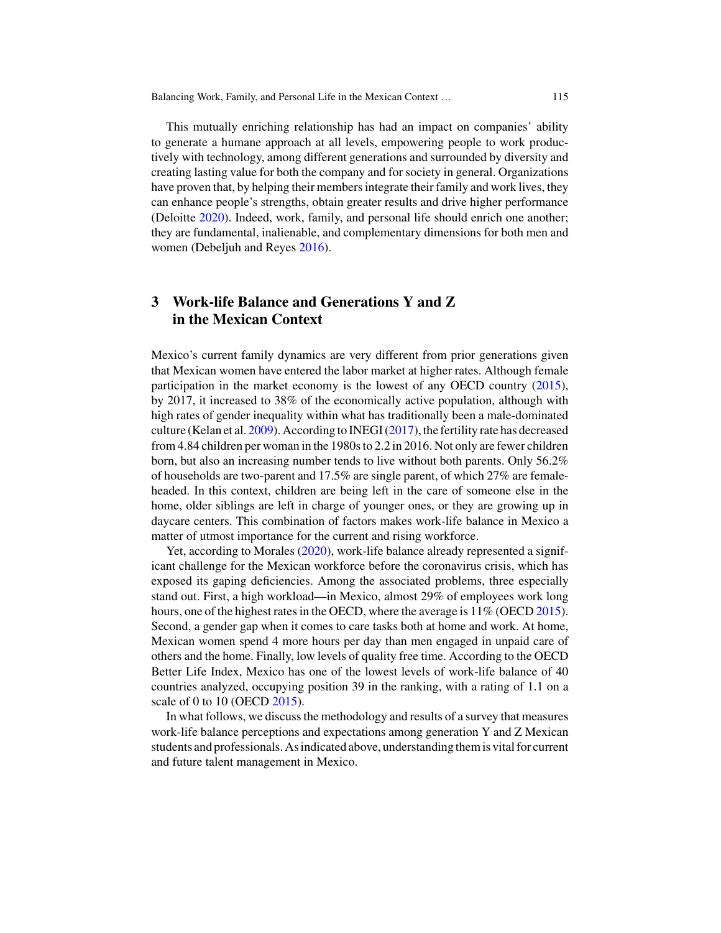This mutually enriching relationship has had an impact on companies' ability to generate a humane approach at all levels, empowering people to work productively with technology, among different generations and surrounded by diversity and creating lasting value for both the company and for society in general. Organizations have proven that, by helping their members integrate their family and work lives, they can enhance people's strengths, obtain greater results and drive higher performance (Deloitte 2020). Indeed, work, family, and personal life should enrich one another; they are fundamental, inalienable, and complementary dimensions for both men and women (Debeljuh and Reyes 2016).

## **3 Work-life Balance and Generations Y and Z in the Mexican Context**

Mexico's current family dynamics are very different from prior generations given that Mexican women have entered the labor market at higher rates. Although female participation in the market economy is the lowest of any OECD country (2015), by 2017, it increased to 38% of the economically active population, although with high rates of gender inequality within what has traditionally been a male-dominated culture (Kelan et al. 2009). According to INEGI (2017), the fertility rate has decreased from 4.84 children per woman in the 1980s to 2.2 in 2016. Not only are fewer children born, but also an increasing number tends to live without both parents. Only 56.2% of households are two-parent and 17.5% are single parent, of which 27% are femaleheaded. In this context, children are being left in the care of someone else in the home, older siblings are left in charge of younger ones, or they are growing up in daycare centers. This combination of factors makes work-life balance in Mexico a matter of utmost importance for the current and rising workforce.

Yet, according to Morales (2020), work-life balance already represented a significant challenge for the Mexican workforce before the coronavirus crisis, which has exposed its gaping deficiencies. Among the associated problems, three especially stand out. First, a high workload—in Mexico, almost 29% of employees work long hours, one of the highest rates in the OECD, where the average is 11% (OECD 2015). Second, a gender gap when it comes to care tasks both at home and work. At home, Mexican women spend 4 more hours per day than men engaged in unpaid care of others and the home. Finally, low levels of quality free time. According to the OECD Better Life Index, Mexico has one of the lowest levels of work-life balance of 40 countries analyzed, occupying position 39 in the ranking, with a rating of 1.1 on a scale of 0 to 10 (OECD 2015).

In what follows, we discuss the methodology and results of a survey that measures work-life balance perceptions and expectations among generation Y and Z Mexican students and professionals. As indicated above, understanding them is vital for current and future talent management in Mexico.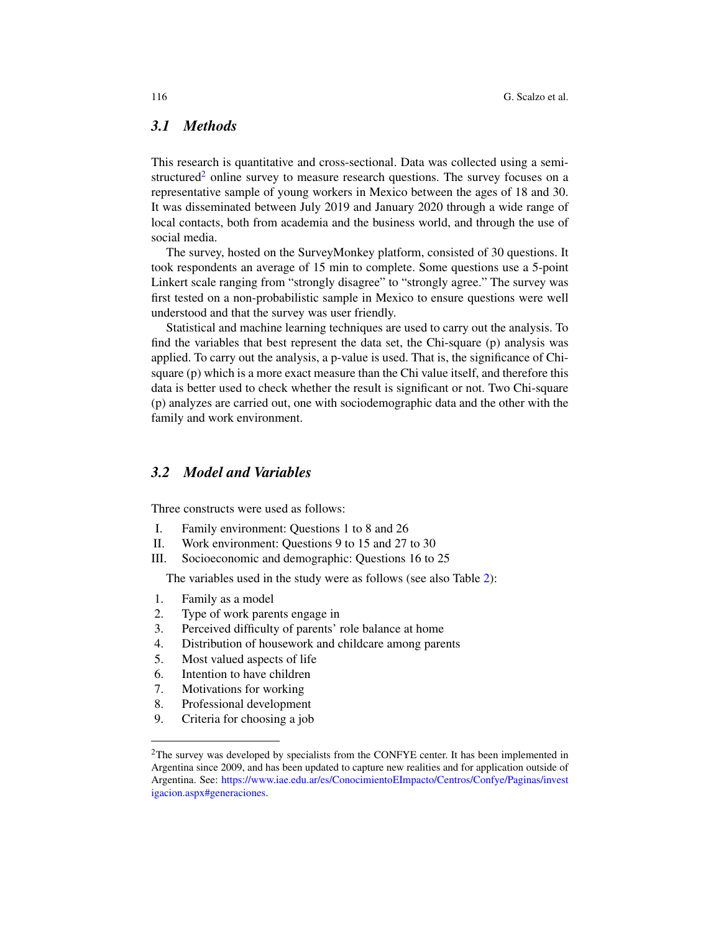## *3.1 Methods*

This research is quantitative and cross-sectional. Data was collected using a semistructured<sup>2</sup> online survey to measure research questions. The survey focuses on a representative sample of young workers in Mexico between the ages of 18 and 30. It was disseminated between July 2019 and January 2020 through a wide range of local contacts, both from academia and the business world, and through the use of social media.

The survey, hosted on the SurveyMonkey platform, consisted of 30 questions. It took respondents an average of 15 min to complete. Some questions use a 5-point Linkert scale ranging from "strongly disagree" to "strongly agree." The survey was first tested on a non-probabilistic sample in Mexico to ensure questions were well understood and that the survey was user friendly.

Statistical and machine learning techniques are used to carry out the analysis. To find the variables that best represent the data set, the Chi-square (p) analysis was applied. To carry out the analysis, a p-value is used. That is, the significance of Chisquare (p) which is a more exact measure than the Chi value itself, and therefore this data is better used to check whether the result is significant or not. Two Chi-square (p) analyzes are carried out, one with sociodemographic data and the other with the family and work environment.

## *3.2 Model and Variables*

Three constructs were used as follows:

- I. Family environment: Questions 1 to 8 and 26
- II. Work environment: Questions 9 to 15 and 27 to 30
- III. Socioeconomic and demographic: Questions 16 to 25

The variables used in the study were as follows (see also Table 2):

- 1. Family as a model
- 2. Type of work parents engage in
- 3. Perceived difficulty of parents' role balance at home
- 4. Distribution of housework and childcare among parents
- 5. Most valued aspects of life
- 6. Intention to have children
- 7. Motivations for working
- 8. Professional development
- 9. Criteria for choosing a job

<sup>&</sup>lt;sup>2</sup>The survey was developed by specialists from the CONFYE center. It has been implemented in Argentina since 2009, and has been updated to capture new realities and for application outside of Argentina. See: https://www.iae.edu.ar/es/ConocimientoEImpacto/Centros/Confye/Paginas/invest igacion.aspx#generaciones.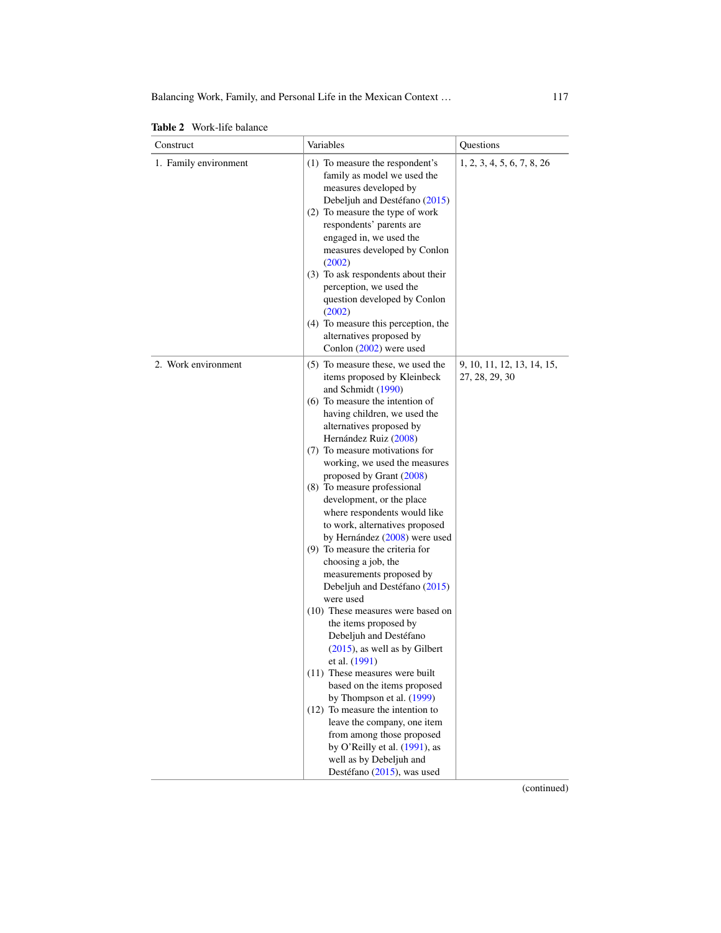|  |  | <b>Table 2</b> Work-life balance |
|--|--|----------------------------------|
|--|--|----------------------------------|

| Construct             | Variables                                                                                                                                                                                                                                                                                                                                                                                                                                                                                                                                                                                                                                                                                                                                                                                                                                                                                                                                                                                                                                            | Questions                                    |
|-----------------------|------------------------------------------------------------------------------------------------------------------------------------------------------------------------------------------------------------------------------------------------------------------------------------------------------------------------------------------------------------------------------------------------------------------------------------------------------------------------------------------------------------------------------------------------------------------------------------------------------------------------------------------------------------------------------------------------------------------------------------------------------------------------------------------------------------------------------------------------------------------------------------------------------------------------------------------------------------------------------------------------------------------------------------------------------|----------------------------------------------|
| 1. Family environment | (1) To measure the respondent's<br>family as model we used the<br>measures developed by<br>Debeljuh and Destéfano (2015)<br>(2) To measure the type of work<br>respondents' parents are<br>engaged in, we used the<br>measures developed by Conlon<br>(2002)<br>(3) To ask respondents about their<br>perception, we used the<br>question developed by Conlon<br>(2002)<br>(4) To measure this perception, the<br>alternatives proposed by                                                                                                                                                                                                                                                                                                                                                                                                                                                                                                                                                                                                           | 1, 2, 3, 4, 5, 6, 7, 8, 26                   |
| 2. Work environment   | Conlon (2002) were used<br>(5) To measure these, we used the<br>items proposed by Kleinbeck<br>and Schmidt (1990)<br>(6) To measure the intention of<br>having children, we used the<br>alternatives proposed by<br>Hernández Ruiz (2008)<br>(7) To measure motivations for<br>working, we used the measures<br>proposed by Grant (2008)<br>(8) To measure professional<br>development, or the place<br>where respondents would like<br>to work, alternatives proposed<br>by Hernández (2008) were used<br>(9) To measure the criteria for<br>choosing a job, the<br>measurements proposed by<br>Debeljuh and Destéfano (2015)<br>were used<br>(10) These measures were based on<br>the items proposed by<br>Debeljuh and Destéfano<br>$(2015)$ , as well as by Gilbert<br>et al. (1991)<br>(11) These measures were built<br>based on the items proposed<br>by Thompson et al. (1999)<br>$(12)$ To measure the intention to<br>leave the company, one item<br>from among those proposed<br>by O'Reilly et al. (1991), as<br>well as by Debeljuh and | 9, 10, 11, 12, 13, 14, 15,<br>27, 28, 29, 30 |
|                       | Destéfano (2015), was used                                                                                                                                                                                                                                                                                                                                                                                                                                                                                                                                                                                                                                                                                                                                                                                                                                                                                                                                                                                                                           | (continued)                                  |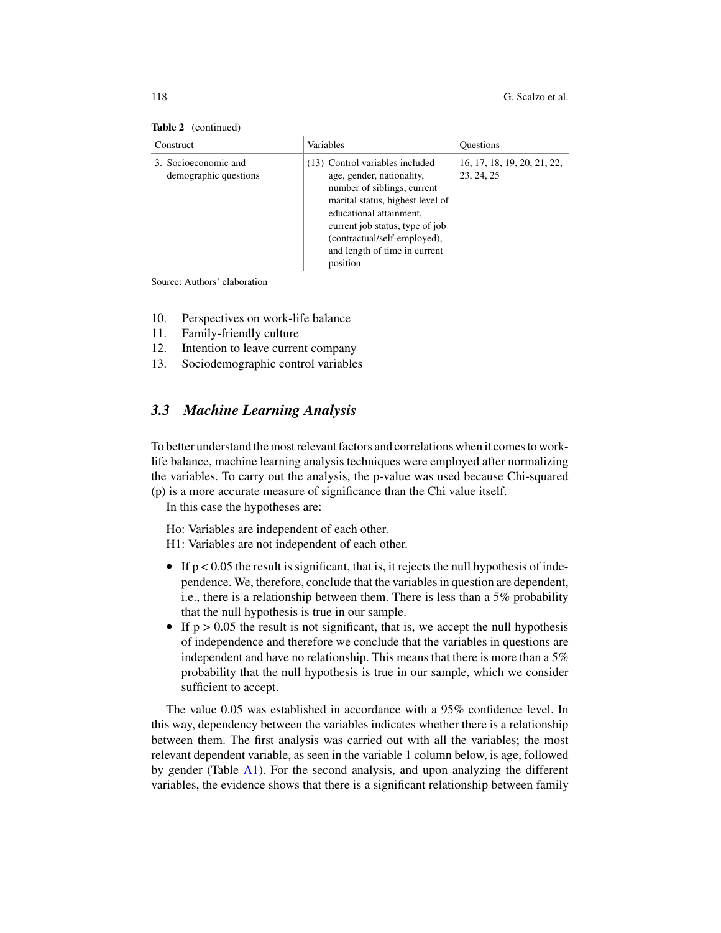| <b>Lable</b> $\boldsymbol{\mu}$ (continued)   |                                                                                                                                                                                                                                                                            |                                           |  |  |
|-----------------------------------------------|----------------------------------------------------------------------------------------------------------------------------------------------------------------------------------------------------------------------------------------------------------------------------|-------------------------------------------|--|--|
| Construct                                     | Variables                                                                                                                                                                                                                                                                  | <b>Ouestions</b>                          |  |  |
| 3. Socioeconomic and<br>demographic questions | (13) Control variables included<br>age, gender, nationality,<br>number of siblings, current<br>marital status, highest level of<br>educational attainment,<br>current job status, type of job<br>(contractual/self-employed),<br>and length of time in current<br>position | 16, 17, 18, 19, 20, 21, 22,<br>23, 24, 25 |  |  |

#### Table 2 (continued)

Source: Authors' elaboration

- 10. Perspectives on work-life balance
- 11. Family-friendly culture
- 12. Intention to leave current company
- 13. Sociodemographic control variables

## *3.3 Machine Learning Analysis*

To better understand the most relevant factors and correlations when it comes to worklife balance, machine learning analysis techniques were employed after normalizing the variables. To carry out the analysis, the p-value was used because Chi-squared (p) is a more accurate measure of significance than the Chi value itself.

In this case the hypotheses are:

Ho: Variables are independent of each other. H1: Variables are not independent of each other.

- If  $p < 0.05$  the result is significant, that is, it rejects the null hypothesis of independence. We, therefore, conclude that the variables in question are dependent, i.e., there is a relationship between them. There is less than a 5% probability that the null hypothesis is true in our sample.
- If  $p > 0.05$  the result is not significant, that is, we accept the null hypothesis of independence and therefore we conclude that the variables in questions are independent and have no relationship. This means that there is more than a 5% probability that the null hypothesis is true in our sample, which we consider sufficient to accept.

The value 0.05 was established in accordance with a 95% confidence level. In this way, dependency between the variables indicates whether there is a relationship between them. The first analysis was carried out with all the variables; the most relevant dependent variable, as seen in the variable 1 column below, is age, followed by gender (Table A1). For the second analysis, and upon analyzing the different variables, the evidence shows that there is a significant relationship between family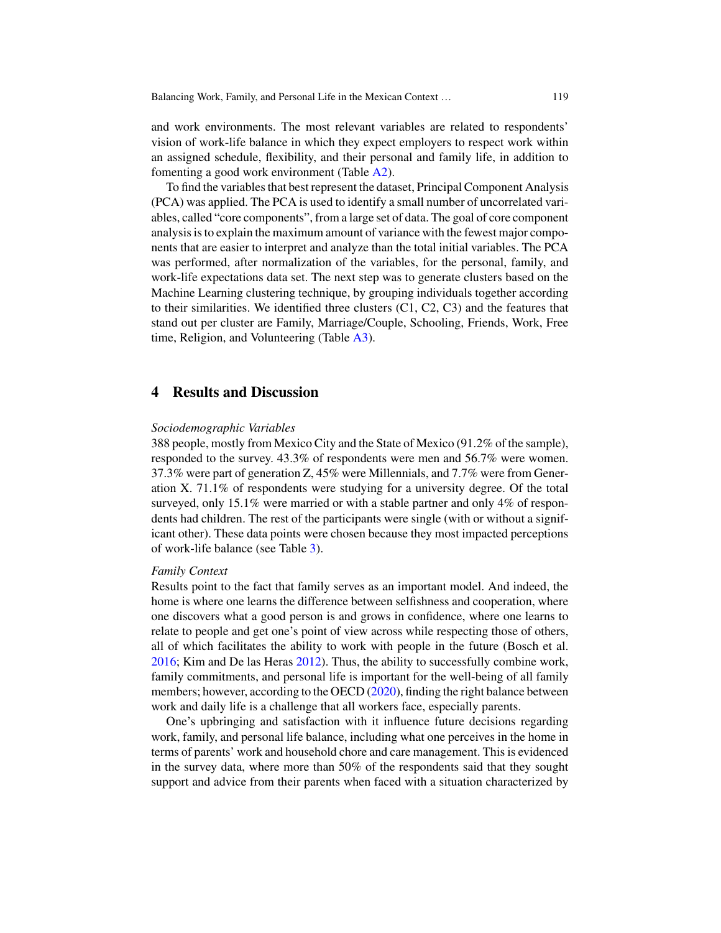and work environments. The most relevant variables are related to respondents' vision of work-life balance in which they expect employers to respect work within an assigned schedule, flexibility, and their personal and family life, in addition to fomenting a good work environment (Table A2).

To find the variables that best represent the dataset, Principal Component Analysis (PCA) was applied. The PCA is used to identify a small number of uncorrelated variables, called "core components", from a large set of data. The goal of core component analysis is to explain the maximum amount of variance with the fewest major components that are easier to interpret and analyze than the total initial variables. The PCA was performed, after normalization of the variables, for the personal, family, and work-life expectations data set. The next step was to generate clusters based on the Machine Learning clustering technique, by grouping individuals together according to their similarities. We identified three clusters  $(C1, C2, C3)$  and the features that stand out per cluster are Family, Marriage/Couple, Schooling, Friends, Work, Free time, Religion, and Volunteering (Table A3).

## **4 Results and Discussion**

#### *Sociodemographic Variables*

388 people, mostly from Mexico City and the State of Mexico (91.2% of the sample), responded to the survey. 43.3% of respondents were men and 56.7% were women. 37.3% were part of generation Z, 45% were Millennials, and 7.7% were from Generation X. 71.1% of respondents were studying for a university degree. Of the total surveyed, only 15.1% were married or with a stable partner and only 4% of respondents had children. The rest of the participants were single (with or without a significant other). These data points were chosen because they most impacted perceptions of work-life balance (see Table 3).

### *Family Context*

Results point to the fact that family serves as an important model. And indeed, the home is where one learns the difference between selfishness and cooperation, where one discovers what a good person is and grows in confidence, where one learns to relate to people and get one's point of view across while respecting those of others, all of which facilitates the ability to work with people in the future (Bosch et al. 2016; Kim and De las Heras 2012). Thus, the ability to successfully combine work, family commitments, and personal life is important for the well-being of all family members; however, according to the OECD (2020), finding the right balance between work and daily life is a challenge that all workers face, especially parents.

One's upbringing and satisfaction with it influence future decisions regarding work, family, and personal life balance, including what one perceives in the home in terms of parents' work and household chore and care management. This is evidenced in the survey data, where more than 50% of the respondents said that they sought support and advice from their parents when faced with a situation characterized by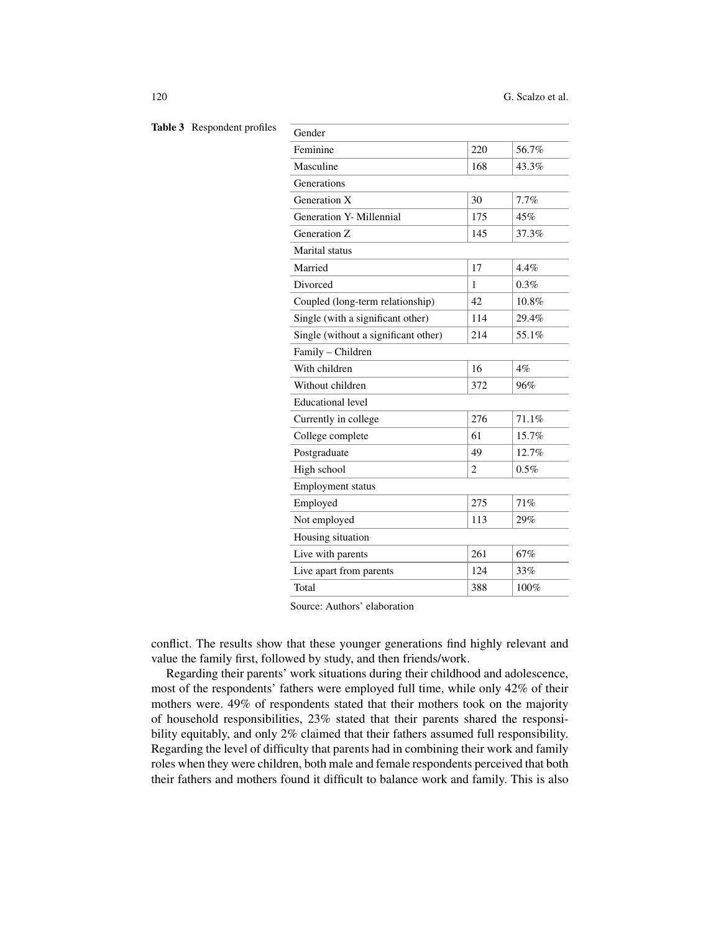| Gender                               |                |       |  |  |
|--------------------------------------|----------------|-------|--|--|
| Feminine                             | 220            | 56.7% |  |  |
| Masculine                            | 168            | 43.3% |  |  |
| Generations                          |                |       |  |  |
| Generation X                         | 30             | 7.7%  |  |  |
| Generation Y- Millennial             | 175            | 45%   |  |  |
| Generation Z                         | 145            | 37.3% |  |  |
| Marital status                       |                |       |  |  |
| Married                              | 17             | 4.4%  |  |  |
| Divorced                             | 1              | 0.3%  |  |  |
| Coupled (long-term relationship)     | 42             | 10.8% |  |  |
| Single (with a significant other)    | 114            | 29.4% |  |  |
| Single (without a significant other) | 214            | 55.1% |  |  |
| Family - Children                    |                |       |  |  |
| With children                        | 16             | $4\%$ |  |  |
| Without children                     | 372            | 96%   |  |  |
| <b>Educational level</b>             |                |       |  |  |
| Currently in college                 | 276            | 71.1% |  |  |
| College complete                     | 61             | 15.7% |  |  |
| Postgraduate                         | 49             | 12.7% |  |  |
| High school                          | $\overline{c}$ | 0.5%  |  |  |
| <b>Employment status</b>             |                |       |  |  |
| Employed                             | 275            | 71%   |  |  |
| Not employed                         | 113            | 29%   |  |  |
| Housing situation                    |                |       |  |  |
| Live with parents                    | 261            | 67%   |  |  |
| Live apart from parents              | 124            | 33%   |  |  |
| Total                                | 388            | 100%  |  |  |
|                                      |                |       |  |  |

Table 3 Respondent profil

Source: Authors' elaboration

conflict. The results show that these younger generations find highly relevant and value the family first, followed by study, and then friends/work.

Regarding their parents' work situations during their childhood and adolescence, most of the respondents' fathers were employed full time, while only 42% of their mothers were. 49% of respondents stated that their mothers took on the majority of household responsibilities, 23% stated that their parents shared the responsibility equitably, and only 2% claimed that their fathers assumed full responsibility. Regarding the level of difficulty that parents had in combining their work and family roles when they were children, both male and female respondents perceived that both their fathers and mothers found it difficult to balance work and family. This is also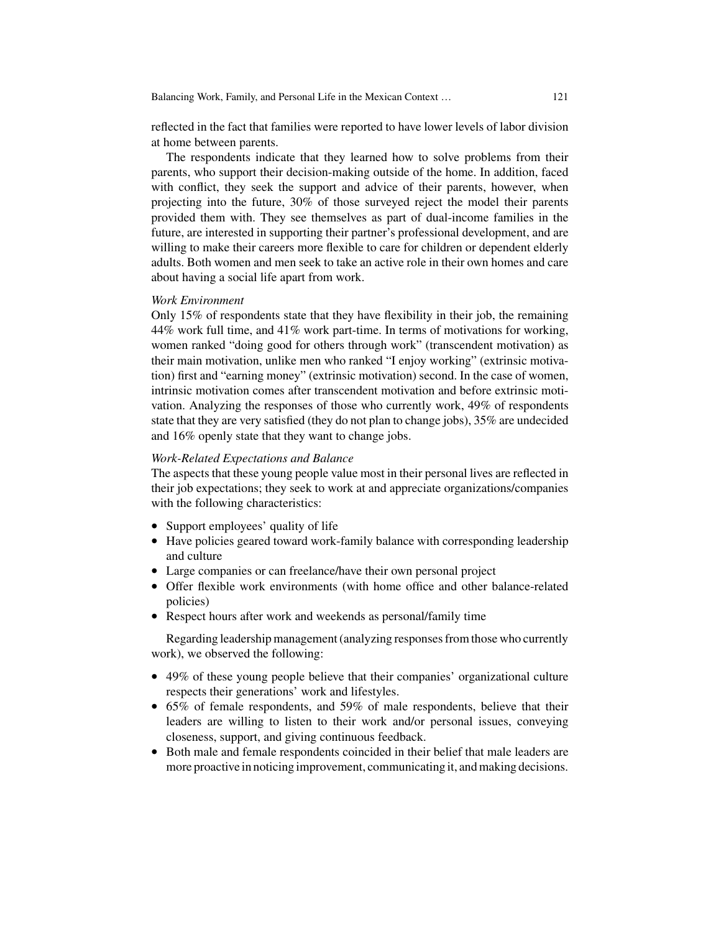reflected in the fact that families were reported to have lower levels of labor division at home between parents.

The respondents indicate that they learned how to solve problems from their parents, who support their decision-making outside of the home. In addition, faced with conflict, they seek the support and advice of their parents, however, when projecting into the future, 30% of those surveyed reject the model their parents provided them with. They see themselves as part of dual-income families in the future, are interested in supporting their partner's professional development, and are willing to make their careers more flexible to care for children or dependent elderly adults. Both women and men seek to take an active role in their own homes and care about having a social life apart from work.

#### *Work Environment*

Only 15% of respondents state that they have flexibility in their job, the remaining 44% work full time, and 41% work part-time. In terms of motivations for working, women ranked "doing good for others through work" (transcendent motivation) as their main motivation, unlike men who ranked "I enjoy working" (extrinsic motivation) first and "earning money" (extrinsic motivation) second. In the case of women, intrinsic motivation comes after transcendent motivation and before extrinsic motivation. Analyzing the responses of those who currently work, 49% of respondents state that they are very satisfied (they do not plan to change jobs), 35% are undecided and 16% openly state that they want to change jobs.

#### *Work-Related Expectations and Balance*

The aspects that these young people value most in their personal lives are reflected in their job expectations; they seek to work at and appreciate organizations/companies with the following characteristics:

- Support employees' quality of life
- Have policies geared toward work-family balance with corresponding leadership and culture
- Large companies or can freelance/have their own personal project
- Offer flexible work environments (with home office and other balance-related policies)
- Respect hours after work and weekends as personal/family time

Regarding leadership management (analyzing responses from those who currently work), we observed the following:

- 49% of these young people believe that their companies' organizational culture respects their generations' work and lifestyles.
- 65% of female respondents, and 59% of male respondents, believe that their leaders are willing to listen to their work and/or personal issues, conveying closeness, support, and giving continuous feedback.
- Both male and female respondents coincided in their belief that male leaders are more proactive in noticing improvement, communicating it, and making decisions.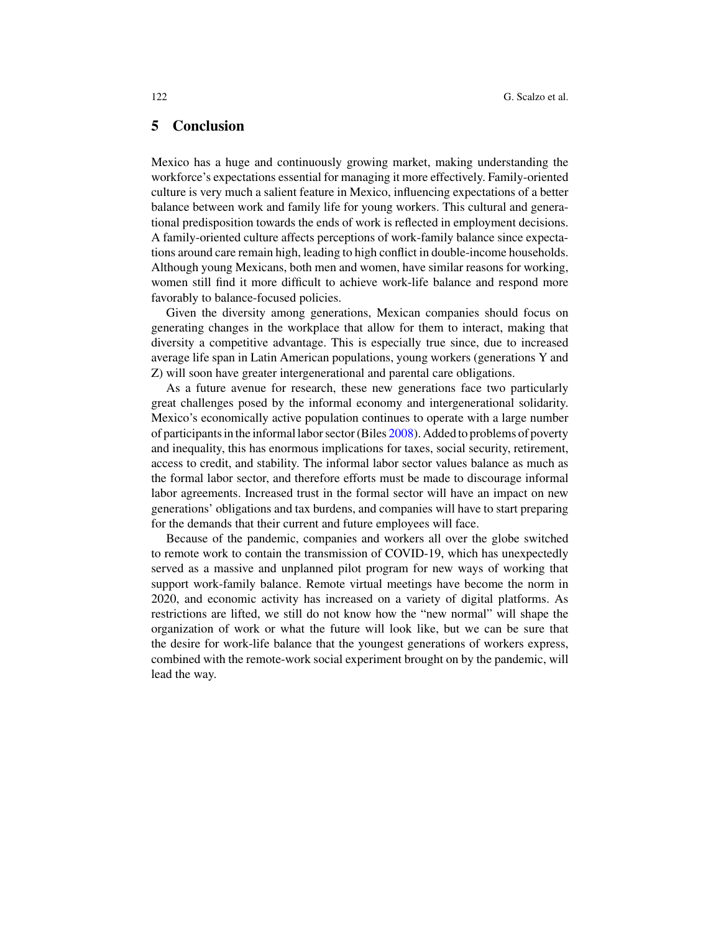## **5 Conclusion**

Mexico has a huge and continuously growing market, making understanding the workforce's expectations essential for managing it more effectively. Family-oriented culture is very much a salient feature in Mexico, influencing expectations of a better balance between work and family life for young workers. This cultural and generational predisposition towards the ends of work is reflected in employment decisions. A family-oriented culture affects perceptions of work-family balance since expectations around care remain high, leading to high conflict in double-income households. Although young Mexicans, both men and women, have similar reasons for working, women still find it more difficult to achieve work-life balance and respond more favorably to balance-focused policies.

Given the diversity among generations, Mexican companies should focus on generating changes in the workplace that allow for them to interact, making that diversity a competitive advantage. This is especially true since, due to increased average life span in Latin American populations, young workers (generations Y and Z) will soon have greater intergenerational and parental care obligations.

As a future avenue for research, these new generations face two particularly great challenges posed by the informal economy and intergenerational solidarity. Mexico's economically active population continues to operate with a large number of participants in the informal labor sector (Biles 2008). Added to problems of poverty and inequality, this has enormous implications for taxes, social security, retirement, access to credit, and stability. The informal labor sector values balance as much as the formal labor sector, and therefore efforts must be made to discourage informal labor agreements. Increased trust in the formal sector will have an impact on new generations' obligations and tax burdens, and companies will have to start preparing for the demands that their current and future employees will face.

Because of the pandemic, companies and workers all over the globe switched to remote work to contain the transmission of COVID-19, which has unexpectedly served as a massive and unplanned pilot program for new ways of working that support work-family balance. Remote virtual meetings have become the norm in 2020, and economic activity has increased on a variety of digital platforms. As restrictions are lifted, we still do not know how the "new normal" will shape the organization of work or what the future will look like, but we can be sure that the desire for work-life balance that the youngest generations of workers express, combined with the remote-work social experiment brought on by the pandemic, will lead the way.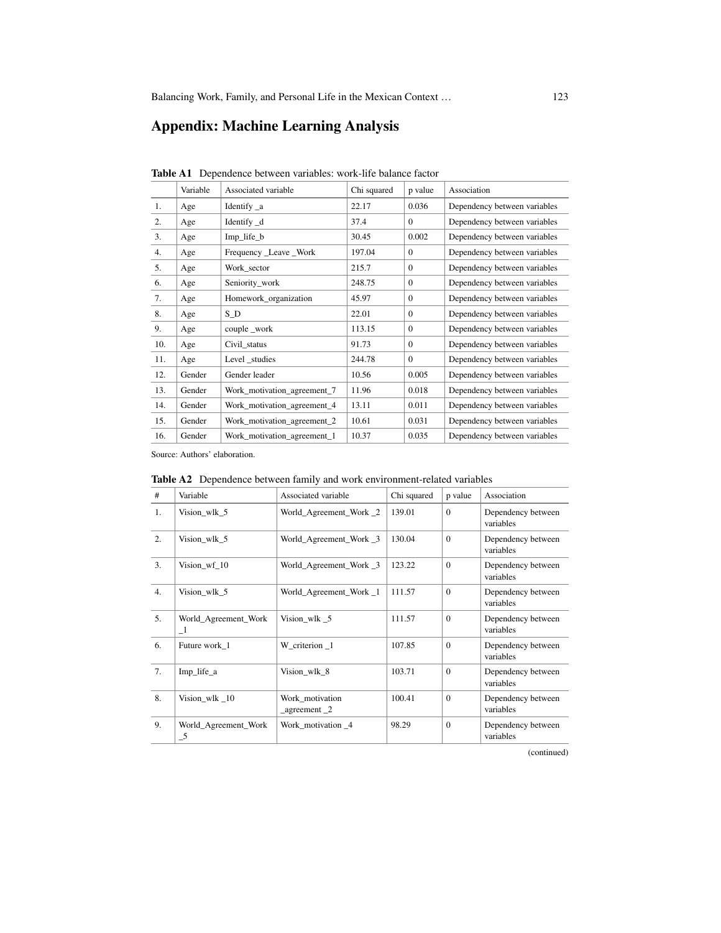## **Appendix: Machine Learning Analysis**

|     | Variable | Associated variable         | Chi squared | p value      | Association                  |
|-----|----------|-----------------------------|-------------|--------------|------------------------------|
| 1.  | Age      | Identify $\_\alpha$         | 22.17       | 0.036        | Dependency between variables |
| 2.  | Age      | Identify _d                 | 37.4        | $\Omega$     | Dependency between variables |
| 3.  | Age      | Imp_life_b                  | 30.45       | 0.002        | Dependency between variables |
| 4.  | Age      | Frequency _Leave _Work      | 197.04      | $\mathbf{0}$ | Dependency between variables |
| 5.  | Age      | Work sector                 | 215.7       | $\Omega$     | Dependency between variables |
| 6.  | Age      | Seniority_work              | 248.75      | $\Omega$     | Dependency between variables |
| 7.  | Age      | Homework_organization       | 45.97       | $\Omega$     | Dependency between variables |
| 8.  | Age      | $S_D$                       | 22.01       | $\mathbf{0}$ | Dependency between variables |
| 9.  | Age      | couple_work                 | 113.15      | $\mathbf{0}$ | Dependency between variables |
| 10. | Age      | Civil status                | 91.73       | $\Omega$     | Dependency between variables |
| 11. | Age      | Level studies               | 244.78      | $\Omega$     | Dependency between variables |
| 12. | Gender   | Gender leader               | 10.56       | 0.005        | Dependency between variables |
| 13. | Gender   | Work_motivation_agreement_7 | 11.96       | 0.018        | Dependency between variables |
| 14. | Gender   | Work_motivation_agreement_4 | 13.11       | 0.011        | Dependency between variables |
| 15. | Gender   | Work_motivation_agreement_2 | 10.61       | 0.031        | Dependency between variables |
| 16. | Gender   | Work_motivation_agreement_1 | 10.37       | 0.035        | Dependency between variables |

**Table A1** Dependence between variables: work-life balance factor

Source: Authors' elaboration.

| $\#$ | Variable                              | Associated variable                 | Chi squared | p value      | Association                     |
|------|---------------------------------------|-------------------------------------|-------------|--------------|---------------------------------|
| 1.   | Vision_wlk_5                          | World_Agreement_Work 2              | 139.01      | $\mathbf{0}$ | Dependency between<br>variables |
| 2.   | Vision_wlk_5                          | World_Agreement_Work _3             | 130.04      | $\Omega$     | Dependency between<br>variables |
| 3.   | Vision wf 10                          | World_Agreement_Work _3             | 123.22      | $\Omega$     | Dependency between<br>variables |
| 4.   | Vision_wlk_5                          | World_Agreement_Work_1              | 111.57      | $\mathbf{0}$ | Dependency between<br>variables |
| 5.   | World_Agreement_Work<br>$\mathbf{-1}$ | Vision_wlk _5                       | 111.57      | $\Omega$     | Dependency between<br>variables |
| 6.   | Future work 1                         | W criterion 1                       | 107.85      | $\Omega$     | Dependency between<br>variables |
| 7.   | Imp_life_a                            | Vision_wlk_8                        | 103.71      | $\mathbf{0}$ | Dependency between<br>variables |
| 8.   | Vision_wlk $\_10$                     | Work_motivation<br>$a$ greement $2$ | 100.41      | $\theta$     | Dependency between<br>variables |
| 9.   | World_Agreement_Work<br>$-5$          | Work motivation 4                   | 98.29       | $\mathbf{0}$ | Dependency between<br>variables |

**Table A2** Dependence between family and work environment-related variables

(continued)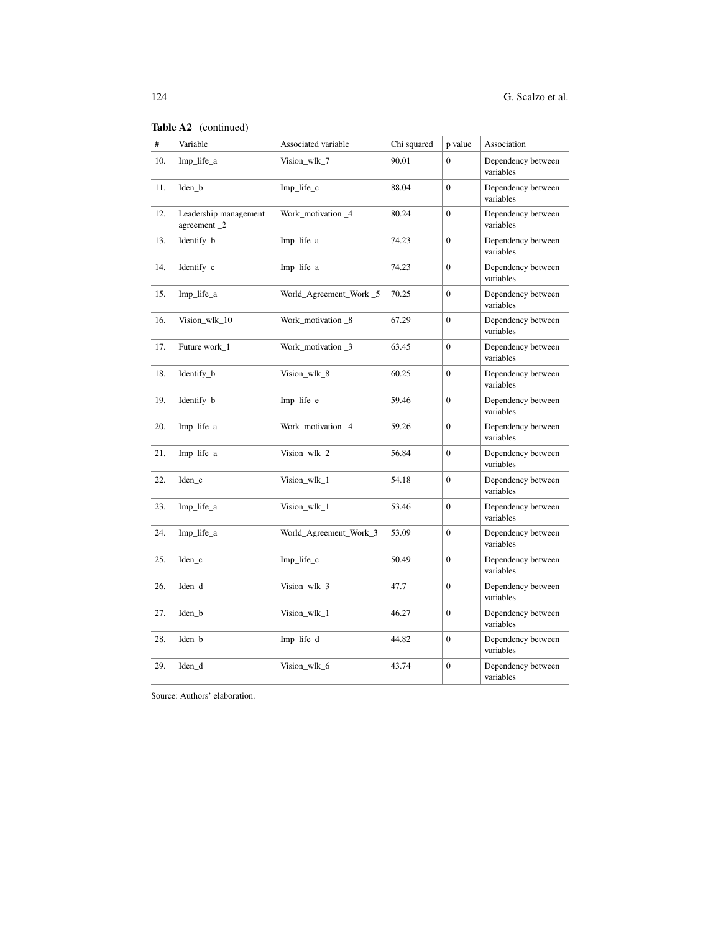|     | <b>Table A2</b> (continued)          |                         |             |                  |                                 |
|-----|--------------------------------------|-------------------------|-------------|------------------|---------------------------------|
| #   | Variable                             | Associated variable     | Chi squared | p value          | Association                     |
| 10. | Imp_life_a                           | Vision_wlk_7            | 90.01       | $\Omega$         | Dependency between<br>variables |
| 11. | Iden_b                               | Imp_life_c              | 88.04       | $\overline{0}$   | Dependency between<br>variables |
| 12. | Leadership management<br>agreement_2 | Work_motivation_4       | 80.24       | $\mathbf{0}$     | Dependency between<br>variables |
| 13. | Identify_b                           | Imp_life_a              | 74.23       | $\mathbf{0}$     | Dependency between<br>variables |
| 14. | Identify_c                           | Imp_life_a              | 74.23       | $\overline{0}$   | Dependency between<br>variables |
| 15. | Imp_life_a                           | World_Agreement_Work _5 | 70.25       | $\overline{0}$   | Dependency between<br>variables |
| 16. | Vision_wlk_10                        | Work_motivation _8      | 67.29       | $\boldsymbol{0}$ | Dependency between<br>variables |
| 17. | Future work_1                        | Work_motivation _3      | 63.45       | $\boldsymbol{0}$ | Dependency between<br>variables |
| 18. | Identify_b                           | Vision_wlk_8            | 60.25       | $\boldsymbol{0}$ | Dependency between<br>variables |
| 19. | Identify_b                           | Imp_life_e              | 59.46       | $\overline{0}$   | Dependency between<br>variables |
| 20. | Imp_life_a                           | Work_motivation_4       | 59.26       | $\mathbf{0}$     | Dependency between<br>variables |
| 21. | Imp_life_a                           | Vision_wlk_2            | 56.84       | $\boldsymbol{0}$ | Dependency between<br>variables |
| 22. | $Iden_c$                             | Vision_wlk_1            | 54.18       | $\boldsymbol{0}$ | Dependency between<br>variables |
| 23. | Imp_life_a                           | Vision_wlk_1            | 53.46       | $\overline{0}$   | Dependency between<br>variables |
| 24. | Imp_life_a                           | World_Agreement_Work_3  | 53.09       | $\overline{0}$   | Dependency between<br>variables |
| 25. | $Iden_c$                             | $Imp_{life\_c}$         | 50.49       | $\boldsymbol{0}$ | Dependency between<br>variables |
| 26. | Iden_d                               | Vision_wlk_3            | 47.7        | $\mathbf{0}$     | Dependency between<br>variables |
| 27. | Iden_b                               | Vision_wlk_1            | 46.27       | $\boldsymbol{0}$ | Dependency between<br>variables |
| 28. | Iden_b                               | Imp_life_d              | 44.82       | $\mathbf{0}$     | Dependency between<br>variables |
| 29. | Iden_d                               | Vision_wlk_6            | 43.74       | $\boldsymbol{0}$ | Dependency between<br>variables |

| Table A2 | (continued) |
|----------|-------------|
|          |             |

Source: Authors' elaboration.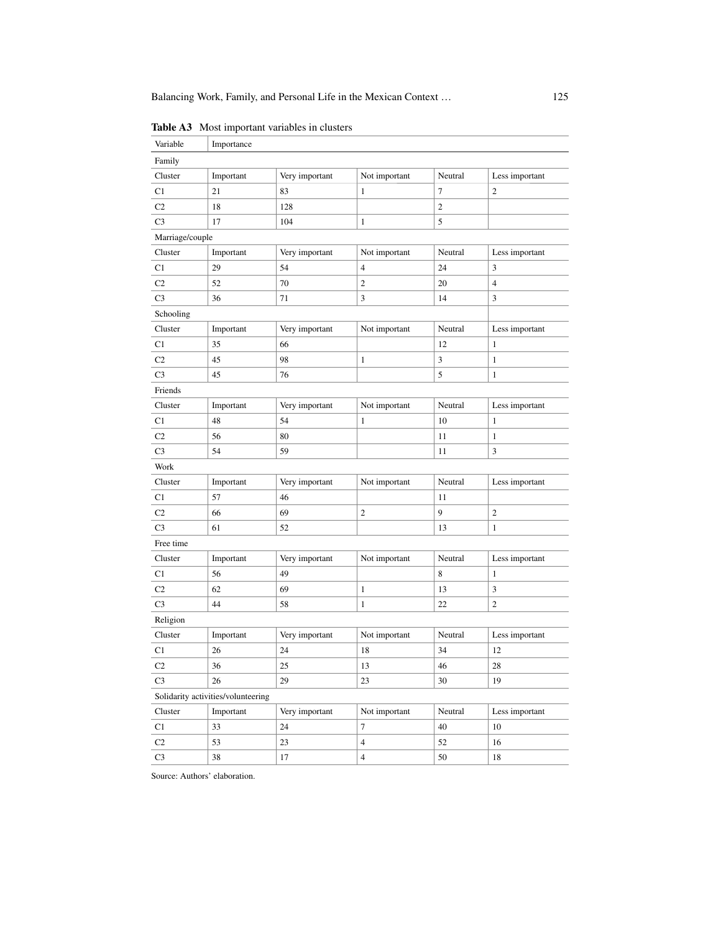| Variable                           | Importance |                |                |              |                          |  |  |
|------------------------------------|------------|----------------|----------------|--------------|--------------------------|--|--|
| Family                             |            |                |                |              |                          |  |  |
| Cluster                            | Important  | Very important | Not important  | Neutral      | Less important           |  |  |
| C1                                 | 21         | 83             | 1              | 7            | $\mathfrak{2}$           |  |  |
| C <sub>2</sub>                     | 18         | 128            |                | $\mathbf{2}$ |                          |  |  |
| C <sub>3</sub>                     | 17         | 104            | $\mathbf{1}$   | 5            |                          |  |  |
| Marriage/couple                    |            |                |                |              |                          |  |  |
| Cluster                            | Important  | Very important | Not important  | Neutral      | Less important           |  |  |
| C <sub>1</sub>                     | 29         | 54             | 4              | 24           | 3                        |  |  |
| C <sub>2</sub>                     | 52         | 70             | $\overline{2}$ | 20           | $\overline{\mathcal{L}}$ |  |  |
| C <sub>3</sub>                     | 36         | 71             | 3              | 14           | 3                        |  |  |
| Schooling                          |            |                |                |              |                          |  |  |
| Cluster                            | Important  | Very important | Not important  | Neutral      | Less important           |  |  |
| C1                                 | 35         | 66             |                | 12           | 1                        |  |  |
| C <sub>2</sub>                     | 45         | 98             | 1              | 3            | $\mathbf{1}$             |  |  |
| C <sub>3</sub>                     | 45         | 76             |                | 5            | $\mathbf{1}$             |  |  |
| Friends                            |            |                |                |              |                          |  |  |
| Cluster                            | Important  | Very important | Not important  | Neutral      | Less important           |  |  |
| C1                                 | 48         | 54             | $\mathbf{1}$   | 10           | $\mathbf{1}$             |  |  |
| C <sub>2</sub>                     | 56         | 80             |                | 11           | $\mathbf{1}$             |  |  |
| C <sub>3</sub>                     | 54         | 59             |                | 11           | 3                        |  |  |
| Work                               |            |                |                |              |                          |  |  |
| Cluster                            | Important  | Very important | Not important  | Neutral      | Less important           |  |  |
| C1                                 | 57         | 46             |                | 11           |                          |  |  |
| C <sub>2</sub>                     | 66         | 69             | $\overline{2}$ | 9            | $\boldsymbol{2}$         |  |  |
| C <sub>3</sub>                     | 61         | 52             |                | 13           | $\mathbf{1}$             |  |  |
| Free time                          |            |                |                |              |                          |  |  |
| Cluster                            | Important  | Very important | Not important  | Neutral      | Less important           |  |  |
| C1                                 | 56         | 49             |                | 8            | $\mathbf{1}$             |  |  |
| C <sub>2</sub>                     | 62         | 69             | 1              | 13           | 3                        |  |  |
| C <sub>3</sub>                     | 44         | 58             | $\mathbf{1}$   | 22           | $\mathbf{2}$             |  |  |
| Religion                           |            |                |                |              |                          |  |  |
| Cluster                            | Important  | Very important | Not important  | Neutral      | Less important           |  |  |
| C <sub>1</sub>                     | 26         | 24             | 18             | 34           | 12                       |  |  |
| C <sub>2</sub>                     | 36         | 25             | 13             | 46           | 28                       |  |  |
| C <sub>3</sub>                     | 26         | 29             | 23             | 30           | 19                       |  |  |
| Solidarity activities/volunteering |            |                |                |              |                          |  |  |
| Cluster                            | Important  | Very important | Not important  | Neutral      | Less important           |  |  |
| C1                                 | 33         | 24             | $\tau$         | 40           | 10                       |  |  |
| C <sub>2</sub>                     | 53         | 23             | $\overline{4}$ | $52\,$       | 16                       |  |  |
| C <sub>3</sub>                     | 38         | 17             | $\overline{4}$ | 50           | 18                       |  |  |

**Table A3** Most important variables in clusters

Source: Authors' elaboration.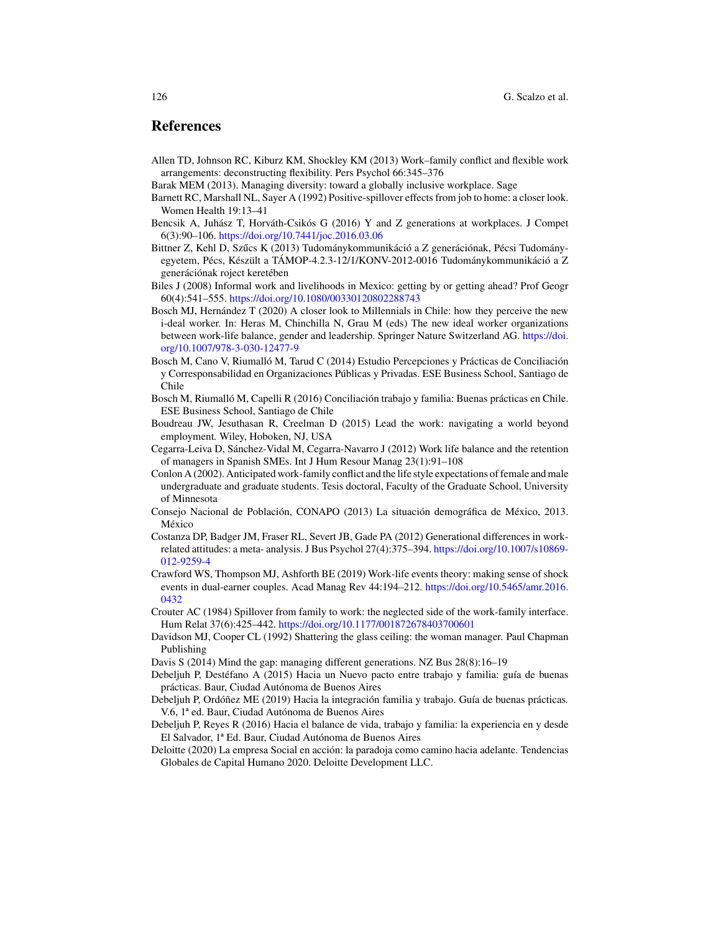## **References**

- Allen TD, Johnson RC, Kiburz KM, Shockley KM (2013) Work–family conflict and flexible work arrangements: deconstructing flexibility. Pers Psychol 66:345–376
- Barak MEM (2013). Managing diversity: toward a globally inclusive workplace. Sage
- Barnett RC, Marshall NL, Sayer A (1992) Positive-spillover effects from job to home: a closer look. Women Health 19:13–41
- Bencsik A, Juhász T, Horváth-Csikós G (2016) Y and Z generations at workplaces. J Compet 6(3):90–106. https://doi.org/10.7441/joc.2016.03.06
- Bittner Z, Kehl D, Szűcs K (2013) Tudománykommunikáció a Z generációnak, Pécsi Tudományegyetem, Pécs, Készült a TÁMOP-4.2.3-12/1/KONV-2012-0016 Tudománykommunikáció a Z generációnak roject keretében
- Biles J (2008) Informal work and livelihoods in Mexico: getting by or getting ahead? Prof Geogr 60(4):541–555. https://doi.org/10.1080/00330120802288743
- Bosch MJ, Hernández T (2020) A closer look to Millennials in Chile: how they perceive the new i-deal worker. In: Heras M, Chinchilla N, Grau M (eds) The new ideal worker organizations between work-life balance, gender and leadership. Springer Nature Switzerland AG. https://doi. org/10.1007/978-3-030-12477-9
- Bosch M, Cano V, Riumalló M, Tarud C (2014) Estudio Percepciones y Prácticas de Conciliación y Corresponsabilidad en Organizaciones Públicas y Privadas. ESE Business School, Santiago de Chile
- Bosch M, Riumalló M, Capelli R (2016) Conciliación trabajo y familia: Buenas prácticas en Chile. ESE Business School, Santiago de Chile
- Boudreau JW, Jesuthasan R, Creelman D (2015) Lead the work: navigating a world beyond employment*.* Wiley, Hoboken, NJ, USA
- Cegarra-Leiva D, Sánchez-Vidal M, Cegarra-Navarro J (2012) Work life balance and the retention of managers in Spanish SMEs. Int J Hum Resour Manag 23(1):91–108
- Conlon A (2002). Anticipated work-family conflict and the life style expectations of female and male undergraduate and graduate students. Tesis doctoral, Faculty of the Graduate School, University of Minnesota
- Consejo Nacional de Población, CONAPO (2013) La situación demográfica de México, 2013. México
- Costanza DP, Badger JM, Fraser RL, Severt JB, Gade PA (2012) Generational differences in workrelated attitudes: a meta- analysis. J Bus Psychol 27(4):375–394. https://doi.org/10.1007/s10869- 012-9259-4
- Crawford WS, Thompson MJ, Ashforth BE (2019) Work-life events theory: making sense of shock events in dual-earner couples. Acad Manag Rev 44:194–212. https://doi.org/10.5465/amr.2016. 0432
- Crouter AC (1984) Spillover from family to work: the neglected side of the work-family interface. Hum Relat 37(6):425–442. https://doi.org/10.1177/001872678403700601
- Davidson MJ, Cooper CL (1992) Shattering the glass ceiling: the woman manager*.* Paul Chapman Publishing
- Davis S (2014) Mind the gap: managing different generations. NZ Bus 28(8):16–19
- Debeljuh P, Destéfano A (2015) Hacia un Nuevo pacto entre trabajo y familia: guía de buenas prácticas. Baur, Ciudad Autónoma de Buenos Aires
- Debeljuh P, Ordóñez ME (2019) Hacia la integración familia y trabajo. Guía de buenas prácticas*.* V.6, 1ª ed. Baur, Ciudad Autónoma de Buenos Aires
- Debeljuh P, Reyes R (2016) Hacia el balance de vida, trabajo y familia: la experiencia en y desde El Salvador, 1ª Ed. Baur, Ciudad Autónoma de Buenos Aires
- Deloitte (2020) La empresa Social en acción: la paradoja como camino hacia adelante. Tendencias Globales de Capital Humano 2020. Deloitte Development LLC.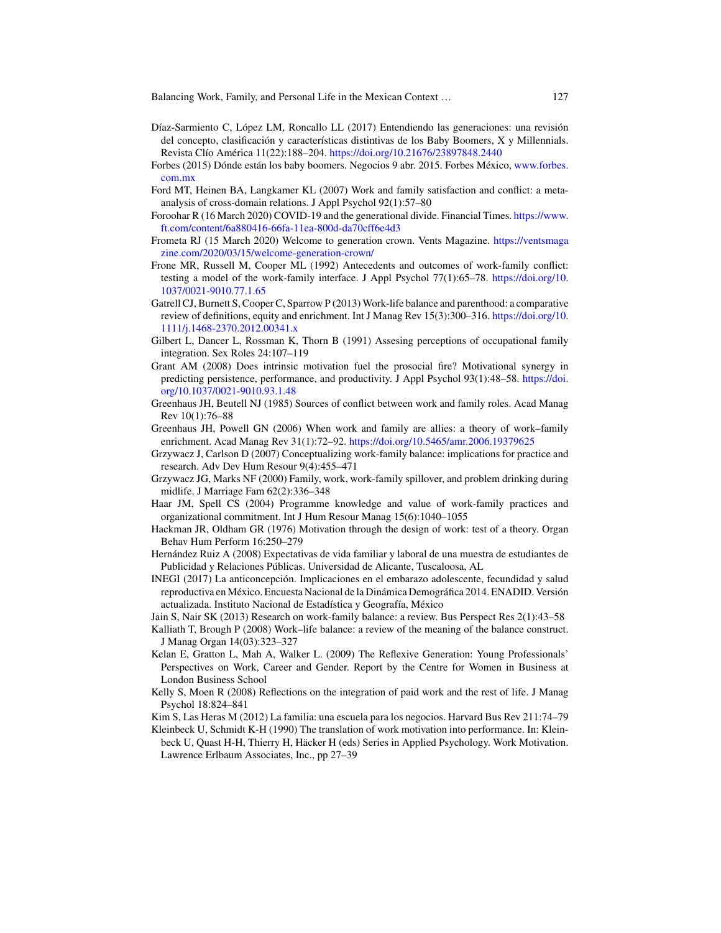- Díaz-Sarmiento C, López LM, Roncallo LL (2017) Entendiendo las generaciones: una revisión del concepto, clasificación y características distintivas de los Baby Boomers, X y Millennials. Revista Clío América 11(22):188–204. https://doi.org/10.21676/23897848.2440
- Forbes (2015) Dónde están los baby boomers. Negocios 9 abr. 2015. Forbes México, www.forbes. com.mx
- Ford MT, Heinen BA, Langkamer KL (2007) Work and family satisfaction and conflict: a metaanalysis of cross-domain relations. J Appl Psychol 92(1):57–80
- Foroohar R (16 March 2020) COVID-19 and the generational divide. Financial Times. https://www. ft.com/content/6a880416-66fa-11ea-800d-da70cff6e4d3
- Frometa RJ (15 March 2020) Welcome to generation crown. Vents Magazine. https://ventsmaga zine.com/2020/03/15/welcome-generation-crown/
- Frone MR, Russell M, Cooper ML (1992) Antecedents and outcomes of work-family conflict: testing a model of the work-family interface. J Appl Psychol 77(1):65–78. https://doi.org/10. 1037/0021-9010.77.1.65
- Gatrell CJ, Burnett S, Cooper C, Sparrow P (2013) Work-life balance and parenthood: a comparative review of definitions, equity and enrichment. Int J Manag Rev 15(3):300–316. https://doi.org/10. 1111/j.1468-2370.2012.00341.x
- Gilbert L, Dancer L, Rossman K, Thorn B (1991) Assesing perceptions of occupational family integration. Sex Roles 24:107–119
- Grant AM (2008) Does intrinsic motivation fuel the prosocial fire? Motivational synergy in predicting persistence, performance, and productivity. J Appl Psychol 93(1):48–58. https://doi. org/10.1037/0021-9010.93.1.48
- Greenhaus JH, Beutell NJ (1985) Sources of conflict between work and family roles. Acad Manag Rev 10(1):76–88
- Greenhaus JH, Powell GN (2006) When work and family are allies: a theory of work–family enrichment. Acad Manag Rev 31(1):72–92. https://doi.org/10.5465/amr.2006.19379625
- Grzywacz J, Carlson D (2007) Conceptualizing work-family balance: implications for practice and research. Adv Dev Hum Resour 9(4):455–471
- Grzywacz JG, Marks NF (2000) Family, work, work-family spillover, and problem drinking during midlife. J Marriage Fam 62(2):336–348
- Haar JM, Spell CS (2004) Programme knowledge and value of work-family practices and organizational commitment. Int J Hum Resour Manag 15(6):1040–1055
- Hackman JR, Oldham GR (1976) Motivation through the design of work: test of a theory. Organ Behav Hum Perform 16:250–279
- Hernández Ruiz A (2008) Expectativas de vida familiar y laboral de una muestra de estudiantes de Publicidad y Relaciones Públicas. Universidad de Alicante, Tuscaloosa, AL
- INEGI (2017) La anticoncepción. Implicaciones en el embarazo adolescente, fecundidad y salud reproductiva en México. Encuesta Nacional de la Dinámica Demográfica 2014. ENADID. Versión actualizada. Instituto Nacional de Estadística y Geografía, México
- Jain S, Nair SK (2013) Research on work-family balance: a review. Bus Perspect Res 2(1):43–58
- Kalliath T, Brough P (2008) Work–life balance: a review of the meaning of the balance construct. J Manag Organ 14(03):323–327
- Kelan E, Gratton L, Mah A, Walker L. (2009) The Reflexive Generation: Young Professionals' Perspectives on Work, Career and Gender. Report by the Centre for Women in Business at London Business School
- Kelly S, Moen R (2008) Reflections on the integration of paid work and the rest of life. J Manag Psychol 18:824–841
- Kim S, Las Heras M (2012) La familia: una escuela para los negocios. Harvard Bus Rev 211:74–79
- Kleinbeck U, Schmidt K-H (1990) The translation of work motivation into performance. In: Kleinbeck U, Quast H-H, Thierry H, Häcker H (eds) Series in Applied Psychology. Work Motivation. Lawrence Erlbaum Associates, Inc., pp 27–39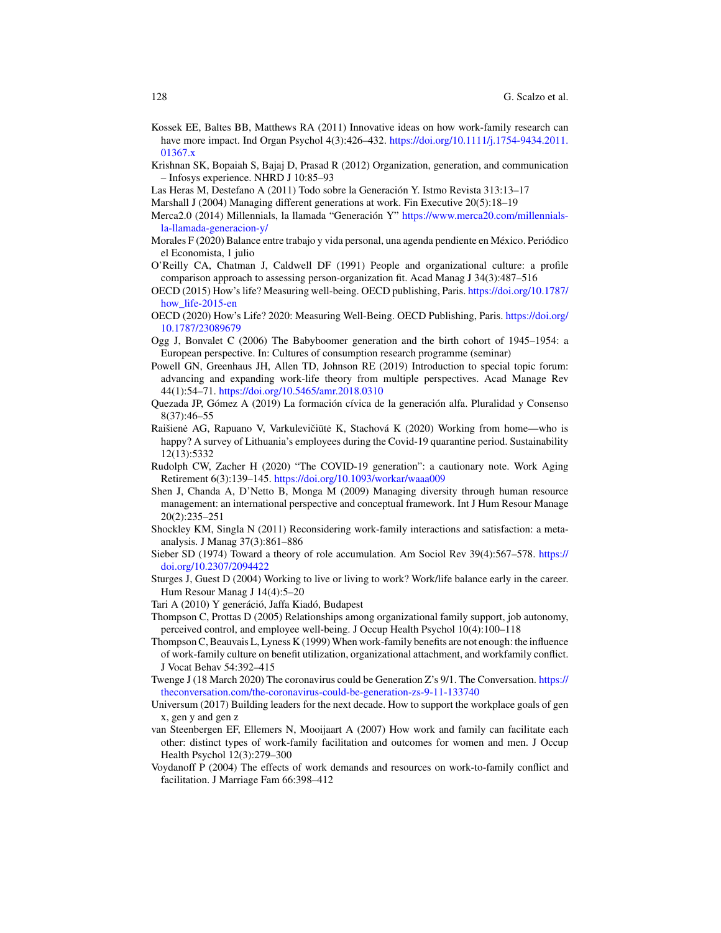- Kossek EE, Baltes BB, Matthews RA (2011) Innovative ideas on how work-family research can have more impact. Ind Organ Psychol 4(3):426–432. https://doi.org/10.1111/j.1754-9434.2011. 01367.x
- Krishnan SK, Bopaiah S, Bajaj D, Prasad R (2012) Organization, generation, and communication – Infosys experience. NHRD J 10:85–93
- Las Heras M, Destefano A (2011) Todo sobre la Generación Y. Istmo Revista 313:13–17
- Marshall J (2004) Managing different generations at work. Fin Executive 20(5):18–19
- Merca2.0 (2014) Millennials, la llamada "Generación Y" https://www.merca20.com/millennialsla-llamada-generacion-y/
- Morales F (2020) Balance entre trabajo y vida personal, una agenda pendiente en México. Periódico el Economista, 1 julio
- O'Reilly CA, Chatman J, Caldwell DF (1991) People and organizational culture: a profile comparison approach to assessing person-organization fit. Acad Manag J 34(3):487–516
- OECD (2015) How's life? Measuring well-being. OECD publishing, Paris. https://doi.org/10.1787/ how\_life-2015-en
- OECD (2020) How's Life? 2020: Measuring Well-Being. OECD Publishing, Paris. https://doi.org/ 10.1787/23089679
- Ogg J, Bonvalet C (2006) The Babyboomer generation and the birth cohort of 1945–1954: a European perspective. In: Cultures of consumption research programme (seminar)
- Powell GN, Greenhaus JH, Allen TD, Johnson RE (2019) Introduction to special topic forum: advancing and expanding work-life theory from multiple perspectives. Acad Manage Rev 44(1):54–71. https://doi.org/10.5465/amr.2018.0310
- Quezada JP, Gómez A (2019) La formación cívica de la generación alfa. Pluralidad y Consenso 8(37):46–55
- Raišienė AG, Rapuano V, Varkulevičiūtė K, Stachová K (2020) Working from home—who is happy? A survey of Lithuania's employees during the Covid-19 quarantine period. Sustainability 12(13):5332
- Rudolph CW, Zacher H (2020) "The COVID-19 generation": a cautionary note. Work Aging Retirement 6(3):139–145. https://doi.org/10.1093/workar/waaa009
- Shen J, Chanda A, D'Netto B, Monga M (2009) Managing diversity through human resource management: an international perspective and conceptual framework. Int J Hum Resour Manage 20(2):235–251
- Shockley KM, Singla N (2011) Reconsidering work-family interactions and satisfaction: a metaanalysis. J Manag 37(3):861–886
- Sieber SD (1974) Toward a theory of role accumulation. Am Sociol Rev 39(4):567–578. https:// doi.org/10.2307/2094422
- Sturges J, Guest D (2004) Working to live or living to work? Work/life balance early in the career. Hum Resour Manag J 14(4):5–20
- Tari A (2010) Y generáció, Jaffa Kiadó, Budapest
- Thompson C, Prottas D (2005) Relationships among organizational family support, job autonomy, perceived control, and employee well-being. J Occup Health Psychol 10(4):100–118
- Thompson C, Beauvais L, Lyness K (1999) When work-family benefits are not enough: the influence of work-family culture on benefit utilization, organizational attachment, and workfamily conflict. J Vocat Behav 54:392–415
- Twenge J (18 March 2020) The coronavirus could be Generation Z's 9/1. The Conversation. https:// theconversation.com/the-coronavirus-could-be-generation-zs-9-11-133740
- Universum (2017) Building leaders for the next decade. How to support the workplace goals of gen x, gen y and gen z
- van Steenbergen EF, Ellemers N, Mooijaart A (2007) How work and family can facilitate each other: distinct types of work-family facilitation and outcomes for women and men. J Occup Health Psychol 12(3):279–300
- Voydanoff P (2004) The effects of work demands and resources on work-to-family conflict and facilitation. J Marriage Fam 66:398–412